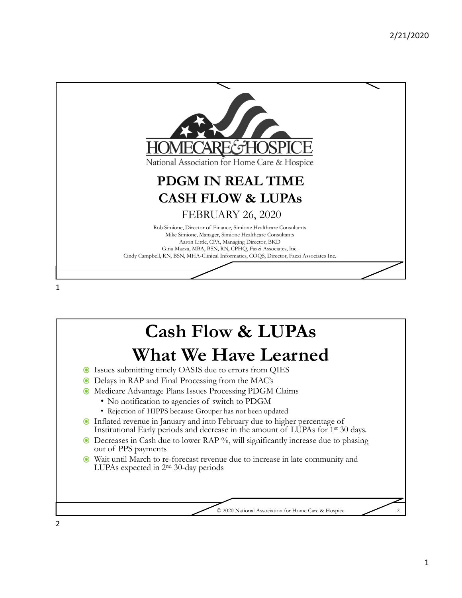

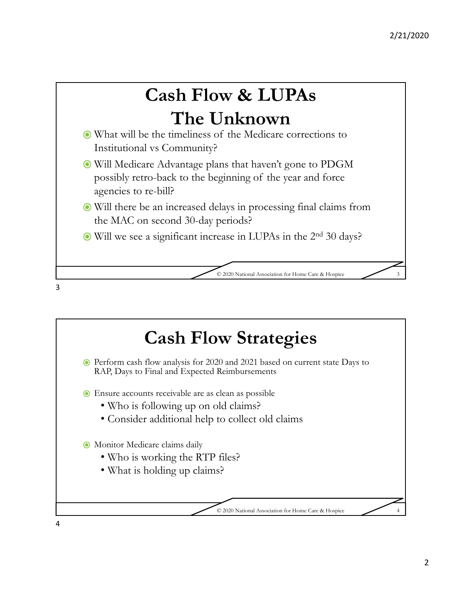

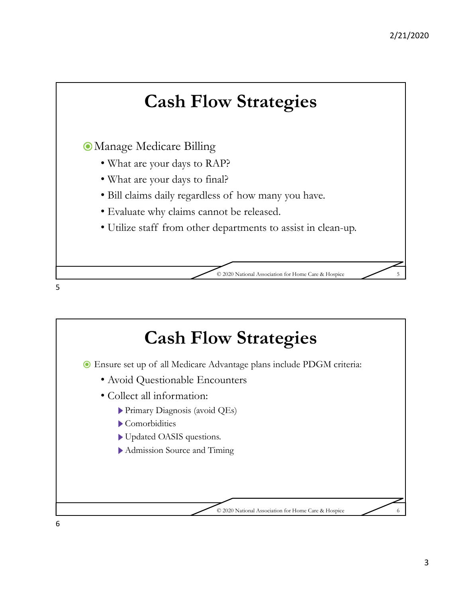

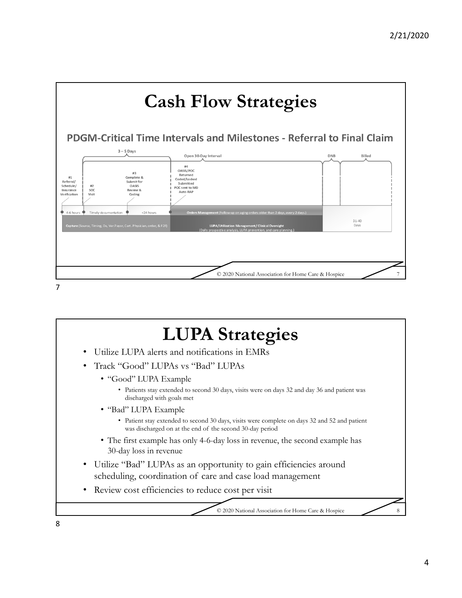

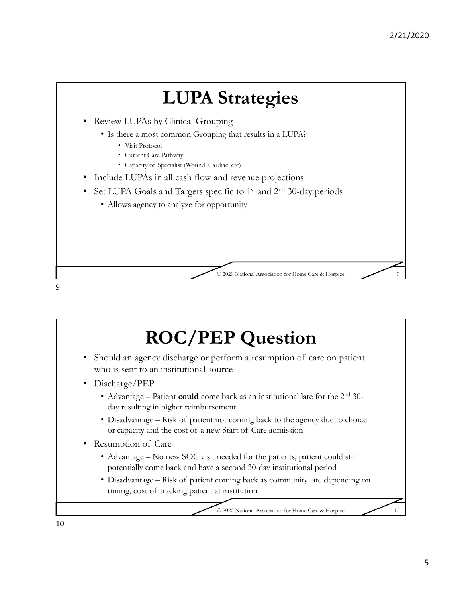

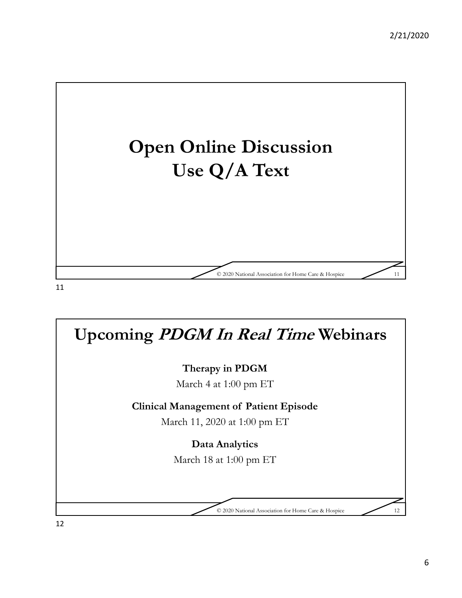

**Upcoming PDGM In Real Time Webinars Therapy in PDGM**  March 4 at 1:00 pm ET **Clinical Management of Patient Episode** March 11, 2020 at 1:00 pm ET **Data Analytics** March 18 at 1:00 pm ET © 2020 National Association for Home Care & Hospice 12